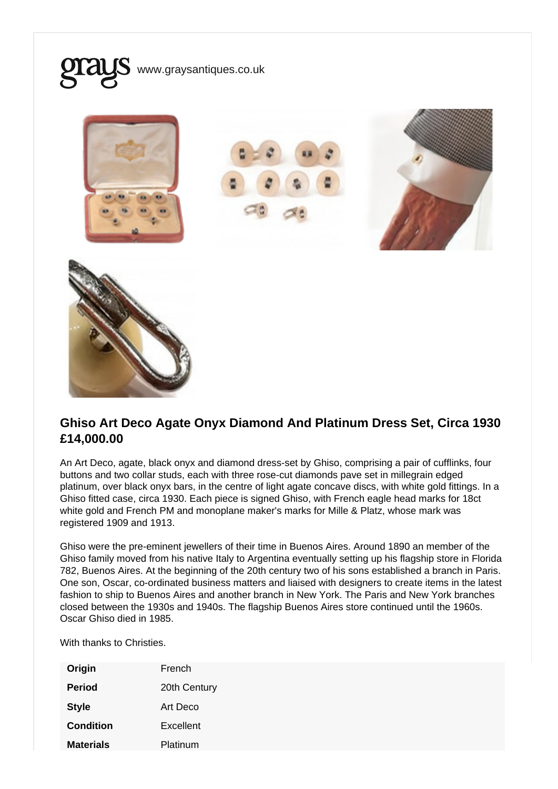

## Ghiso Art Deco Agate Onyx Diamond And Platinum Dress Set, Circa 1930 £14,000.00

An Art Deco, agate, black onyx and diamond dress-set by Ghiso, comprising a pair of cufflinks, four buttons and two collar studs, each with three rose-cut diamonds pave set in millegrain edged platinum, over black onyx bars, in the centre of light agate concave discs, with white gold fittings. In a Ghiso fitted case, circa 1930. Each piece is signed Ghiso, with French eagle head marks for 18ct white gold and French PM and monoplane maker's marks for Mille & Platz, whose mark was registered 1909 and 1913.

Ghiso were the pre-eminent jewellers of their time in Buenos Aires. Around 1890 an member of the Ghiso family moved from his native Italy to Argentina eventually setting up his flagship store in Florida 782, Buenos Aires. At the beginning of the 20th century two of his sons established a branch in Paris. One son, Oscar, co-ordinated business matters and liaised with designers to create items in the latest fashion to ship to Buenos Aires and another branch in New York. The Paris and New York branches closed between the 1930s and 1940s. The flagship Buenos Aires store continued until the 1960s. Oscar Ghiso died in 1985.

With thanks to Christies.

| Origin           | French       |
|------------------|--------------|
| Period           | 20th Century |
| <b>Style</b>     | Art Deco     |
| Condition        | Excellent    |
| <b>Materials</b> | Platinum     |